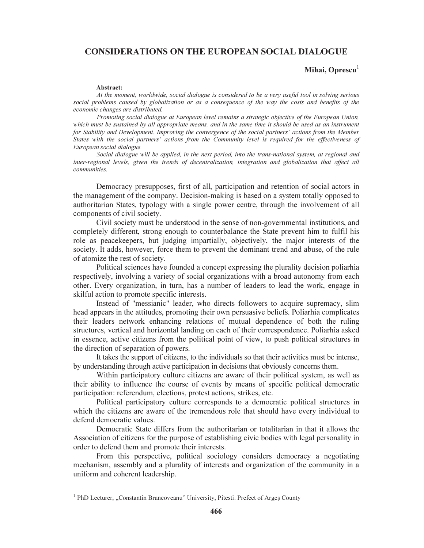## CONSIDERATIONS ON THE EUROPEAN SOCIAL DIALOGUE

## Mihai, Oprescu<sup>1</sup>

## Abstract:

At the moment, worldwide, social dialogue is considered to be a very useful tool in solving serious social problems caused by globalization or as a consequence of the way the costs and benefits of the economic changes are distributed.

Promoting social dialogue at European level remains a strategic objective of the European Union, which must be sustained by all appropriate means, and in the same time it should be used as an instrument for Stability and Development. Improving the convergence of the social partners' actions from the Member States with the social partners' actions from the Community level is required for the effectiveness of European social dialogue.

Social dialogue will be applied, in the next period, into the trans-national system, at regional and inter-regional levels, given the trends of decentralization, integration and globalization that affect all communities.

Democracy presupposes, first of all, participation and retention of social actors in the management of the company. Decision-making is based on a system totally opposed to authoritarian States, typology with a single power centre, through the involvement of all components of civil society.

Civil society must be understood in the sense of non-governmental institutions, and completely different, strong enough to counterbalance the State prevent him to fulfil his role as peacekeepers, but judging impartially, objectively, the major interests of the society. It adds, however, force them to prevent the dominant trend and abuse, of the rule of atomize the rest of society.

Political sciences have founded a concept expressing the plurality decision poliarhia respectively, involving a variety of social organizations with a broad autonomy from each other. Every organization, in turn, has a number of leaders to lead the work, engage in skilful action to promote specific interests.

Instead of "messianic" leader, who directs followers to acquire supremacy, slim head appears in the attitudes, promoting their own persuasive beliefs. Poliarhia complicates their leaders network enhancing relations of mutual dependence of both the ruling structures, vertical and horizontal landing on each of their correspondence. Poliarhia asked in essence, active citizens from the political point of view, to push political structures in the direction of separation of powers.

It takes the support of citizens, to the individuals so that their activities must be intense, by understanding through active participation in decisions that obviously concerns them.

Within participatory culture citizens are aware of their political system, as well as their ability to influence the course of events by means of specific political democratic participation: referendum, elections, protest actions, strikes, etc.

Political participatory culture corresponds to a democratic political structures in which the citizens are aware of the tremendous role that should have every individual to defend democratic values.

Democratic State differs from the authoritarian or totalitarian in that it allows the Association of citizens for the purpose of establishing civic bodies with legal personality in order to defend them and promote their interests.

From this perspective, political sociology considers democracy a negotiating mechanism, assembly and a plurality of interests and organization of the community in a uniform and coherent leadership.

<sup>&</sup>lt;sup>1</sup> PhD Lecturer, "Constantin Brancoveanu" University, Pitesti. Prefect of Argeș County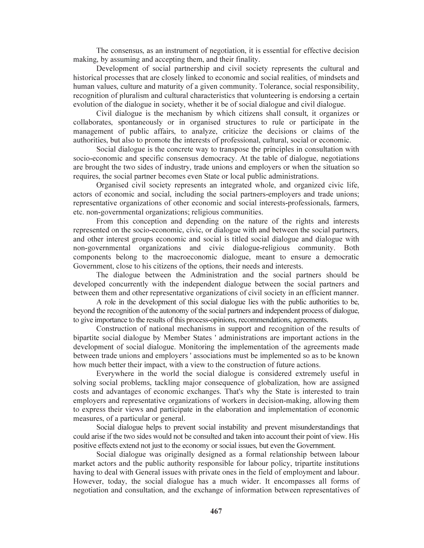The consensus, as an instrument of negotiation, it is essential for effective decision making, by assuming and accepting them, and their finality.

Development of social partnership and civil society represents the cultural and historical processes that are closely linked to economic and social realities, of mindsets and human values, culture and maturity of a given community. Tolerance, social responsibility, recognition of pluralism and cultural characteristics that volunteering is endorsing a certain evolution of the dialogue in society, whether it be of social dialogue and civil dialogue.

Civil dialogue is the mechanism by which citizens shall consult, it organizes or collaborates, spontaneously or in organised structures to rule or participate in the management of public affairs, to analyze, criticize the decisions or claims of the authorities, but also to promote the interests of professional, cultural, social or economic.

Social dialogue is the concrete way to transpose the principles in consultation with socio-economic and specific consensus democracy. At the table of dialogue, negotiations are brought the two sides of industry, trade unions and employers or when the situation so requires, the social partner becomes even State or local public administrations.

Organised civil society represents an integrated whole, and organized civic life, actors of economic and social, including the social partners-employers and trade unions; representative organizations of other economic and social interests-professionals, farmers, etc. non-governmental organizations; religious communities.

From this conception and depending on the nature of the rights and interests represented on the socio-economic, civic, or dialogue with and between the social partners, and other interest groups economic and social is titled social dialogue and dialogue with non-governmental organizations and civic dialogue-religious community. Both components belong to the macroeconomic dialogue, meant to ensure a democratic Government, close to his citizens of the options, their needs and interests.

The dialogue between the Administration and the social partners should be developed concurrently with the independent dialogue between the social partners and between them and other representative organizations of civil society in an efficient manner.

A role in the development of this social dialogue lies with the public authorities to be, beyond the recognition of the autonomy of the social partners and independent process of dialogue, to give importance to the results of this process-opinions, recommendations, agreements.

Construction of national mechanisms in support and recognition of the results of bipartite social dialogue by Member States ' administrations are important actions in the development of social dialogue. Monitoring the implementation of the agreements made between trade unions and employers ' associations must be implemented so as to be known how much better their impact, with a view to the construction of future actions.

Everywhere in the world the social dialogue is considered extremely useful in solving social problems, tackling major consequence of globalization, how are assigned costs and advantages of economic exchanges. That's why the State is interested to train employers and representative organizations of workers in decision-making, allowing them to express their views and participate in the elaboration and implementation of economic measures, of a particular or general.

Social dialogue helps to prevent social instability and prevent misunderstandings that could arise if the two sides would not be consulted and taken into account their point of view. His positive effects extend not just to the economy or social issues, but even the Government.

Social dialogue was originally designed as a formal relationship between labour market actors and the public authority responsible for labour policy, tripartite institutions having to deal with General issues with private ones in the field of employment and labour. However, today, the social dialogue has a much wider. It encompasses all forms of negotiation and consultation, and the exchange of information between representatives of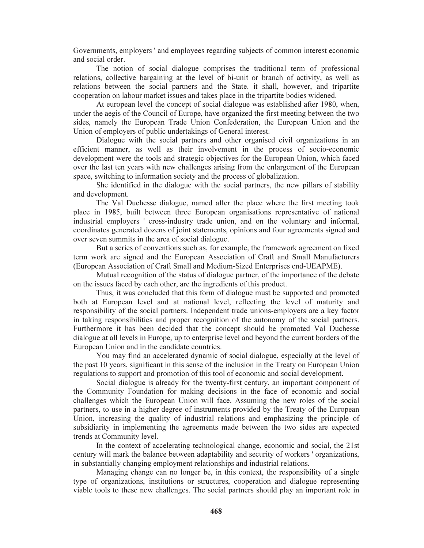Governments, employers ' and employees regarding subjects of common interest economic and social order.

The notion of social dialogue comprises the traditional term of professional relations, collective bargaining at the level of bi-unit or branch of activity, as well as relations between the social partners and the State. it shall, however, and tripartite cooperation on labour market issues and takes place in the tripartite bodies widened.

At european level the concept of social dialogue was established after 1980, when, under the aegis of the Council of Europe, have organized the first meeting between the two sides, namely the European Trade Union Confederation, the European Union and the Union of employers of public undertakings of General interest.

Dialogue with the social partners and other organised civil organizations in an efficient manner, as well as their involvement in the process of socio-economic development were the tools and strategic objectives for the European Union, which faced over the last ten years with new challenges arising from the enlargement of the European space, switching to information society and the process of globalization.

She identified in the dialogue with the social partners, the new pillars of stability and development.

The Val Duchesse dialogue, named after the place where the first meeting took place in 1985, built between three European organisations representative of national industrial employers ' cross-industry trade union, and on the voluntary and informal, coordinates generated dozens of joint statements, opinions and four agreements signed and over seven summits in the area of social dialogue.

But a series of conventions such as, for example, the framework agreement on fixed term work are signed and the European Association of Craft and Small Manufacturers (European Association of Craft Small and Medium-Sized Enterprises end-UEAPME).

Mutual recognition of the status of dialogue partner, of the importance of the debate on the issues faced by each other, are the ingredients of this product.

Thus, it was concluded that this form of dialogue must be supported and promoted both at European level and at national level, reflecting the level of maturity and responsibility of the social partners. Independent trade unions-employers are a key factor in taking responsibilities and proper recognition of the autonomy of the social partners. Furthermore it has been decided that the concept should be promoted Val Duchesse dialogue at all levels in Europe, up to enterprise level and beyond the current borders of the European Union and in the candidate countries.

You may find an accelerated dynamic of social dialogue, especially at the level of the past 10 years, significant in this sense of the inclusion in the Treaty on European Union regulations to support and promotion of this tool of economic and social development.

Social dialogue is already for the twenty-first century, an important component of the Community Foundation for making decisions in the face of economic and social challenges which the European Union will face. Assuming the new roles of the social partners, to use in a higher degree of instruments provided by the Treaty of the European Union, increasing the quality of industrial relations and emphasizing the principle of subsidiarity in implementing the agreements made between the two sides are expected trends at Community level.

In the context of accelerating technological change, economic and social, the 21st century will mark the balance between adaptability and security of workers ' organizations, in substantially changing employment relationships and industrial relations.

Managing change can no longer be, in this context, the responsibility of a single type of organizations, institutions or structures, cooperation and dialogue representing viable tools to these new challenges. The social partners should play an important role in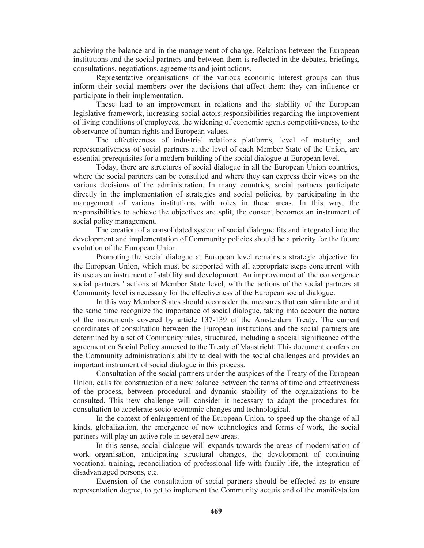achieving the balance and in the management of change. Relations between the European institutions and the social partners and between them is reflected in the debates, briefings, consultations, negotiations, agreements and joint actions.

Representative organisations of the various economic interest groups can thus inform their social members over the decisions that affect them; they can influence or participate in their implementation.

These lead to an improvement in relations and the stability of the European legislative framework, increasing social actors responsibilities regarding the improvement of living conditions of employees, the widening of economic agents competitiveness, to the observance of human rights and European values.

The effectiveness of industrial relations platforms, level of maturity, and representativeness of social partners at the level of each Member State of the Union, are essential prerequisites for a modern building of the social dialogue at European level.

Today, there are structures of social dialogue in all the European Union countries, where the social partners can be consulted and where they can express their views on the various decisions of the administration. In many countries, social partners participate directly in the implementation of strategies and social policies, by participating in the management of various institutions with roles in these areas. In this way, the responsibilities to achieve the objectives are split, the consent becomes an instrument of social policy management.

The creation of a consolidated system of social dialogue fits and integrated into the development and implementation of Community policies should be a priority for the future evolution of the European Union.

Promoting the social dialogue at European level remains a strategic objective for the European Union, which must be supported with all appropriate steps concurrent with its use as an instrument of stability and development. An improvement of the convergence social partners ' actions at Member State level, with the actions of the social partners at Community level is necessary for the effectiveness of the European social dialogue.

In this way Member States should reconsider the measures that can stimulate and at the same time recognize the importance of social dialogue, taking into account the nature of the instruments covered by article 137-139 of the Amsterdam Treaty. The current coordinates of consultation between the European institutions and the social partners are determined by a set of Community rules, structured, including a special significance of the agreement on Social Policy annexed to the Treaty of Maastricht. This document confers on the Community administration's ability to deal with the social challenges and provides an important instrument of social dialogue in this process.

Consultation of the social partners under the auspices of the Treaty of the European Union, calls for construction of a new balance between the terms of time and effectiveness of the process, between procedural and dynamic stability of the organizations to be consulted. This new challenge will consider it necessary to adapt the procedures for consultation to accelerate socio-economic changes and technological.

In the context of enlargement of the European Union, to speed up the change of all kinds, globalization, the emergence of new technologies and forms of work, the social partners will play an active role in several new areas.

In this sense, social dialogue will expands towards the areas of modernisation of work organisation, anticipating structural changes, the development of continuing vocational training, reconciliation of professional life with family life, the integration of disadvantaged persons, etc.

Extension of the consultation of social partners should be effected as to ensure representation degree, to get to implement the Community acquis and of the manifestation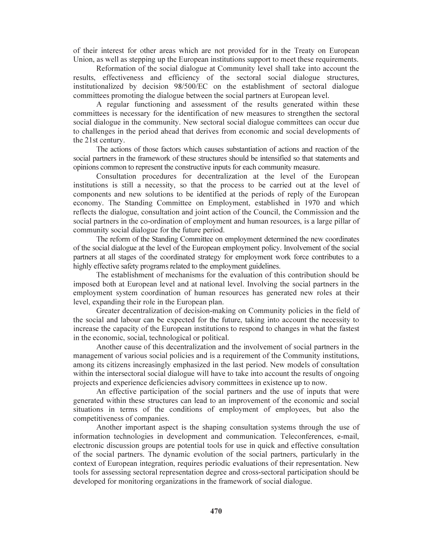of their interest for other areas which are not provided for in the Treaty on European Union, as well as stepping up the European institutions support to meet these requirements.

Reformation of the social dialogue at Community level shall take into account the results, effectiveness and efficiency of the sectoral social dialogue structures, institutionalized by decision 98/500/EC on the establishment of sectoral dialogue committees promoting the dialogue between the social partners at European level.

A regular functioning and assessment of the results generated within these committees is necessary for the identification of new measures to strengthen the sectoral social dialogue in the community. New sectoral social dialogue committees can occur due to challenges in the period ahead that derives from economic and social developments of the 21st century.

The actions of those factors which causes substantiation of actions and reaction of the social partners in the framework of these structures should be intensified so that statements and opinions common to represent the constructive inputs for each community measure.

Consultation procedures for decentralization at the level of the European institutions is still a necessity, so that the process to be carried out at the level of components and new solutions to be identified at the periods of reply of the European economy. The Standing Committee on Employment, established in 1970 and which reflects the dialogue, consultation and joint action of the Council, the Commission and the social partners in the co-ordination of employment and human resources, is a large pillar of community social dialogue for the future period.

The reform of the Standing Committee on employment determined the new coordinates of the social dialogue at the level of the European employment policy. Involvement of the social partners at all stages of the coordinated strategy for employment work force contributes to a highly effective safety programs related to the employment guidelines.

The establishment of mechanisms for the evaluation of this contribution should be imposed both at European level and at national level. Involving the social partners in the employment system coordination of human resources has generated new roles at their level, expanding their role in the European plan.

Greater decentralization of decision-making on Community policies in the field of the social and labour can be expected for the future, taking into account the necessity to increase the capacity of the European institutions to respond to changes in what the fastest in the economic, social, technological or political.

Another cause of this decentralization and the involvement of social partners in the management of various social policies and is a requirement of the Community institutions, among its citizens increasingly emphasized in the last period. New models of consultation within the intersectoral social dialogue will have to take into account the results of ongoing projects and experience deficiencies advisory committees in existence up to now.

An effective participation of the social partners and the use of inputs that were generated within these structures can lead to an improvement of the economic and social situations in terms of the conditions of employment of employees, but also the competitiveness of companies.

Another important aspect is the shaping consultation systems through the use of information technologies in development and communication. Teleconferences, e-mail, electronic discussion groups are potential tools for use in quick and effective consultation of the social partners. The dynamic evolution of the social partners, particularly in the context of European integration, requires periodic evaluations of their representation. New tools for assessing sectoral representation degree and cross-sectoral participation should be developed for monitoring organizations in the framework of social dialogue.